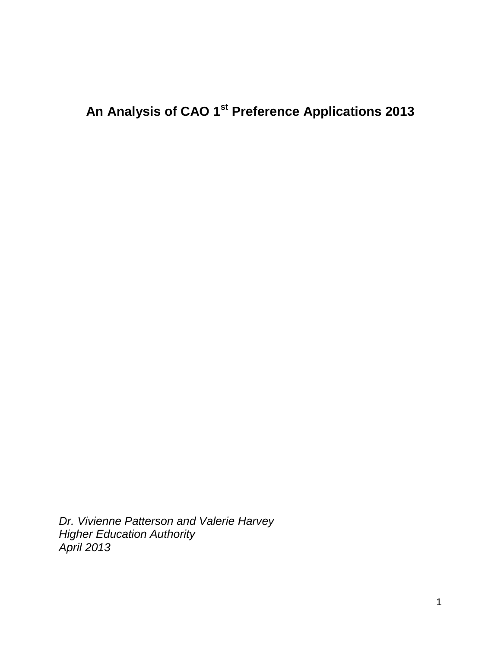# **An Analysis of CAO 1st Preference Applications 2013**

*Dr. Vivienne Patterson and Valerie Harvey Higher Education Authority April 2013*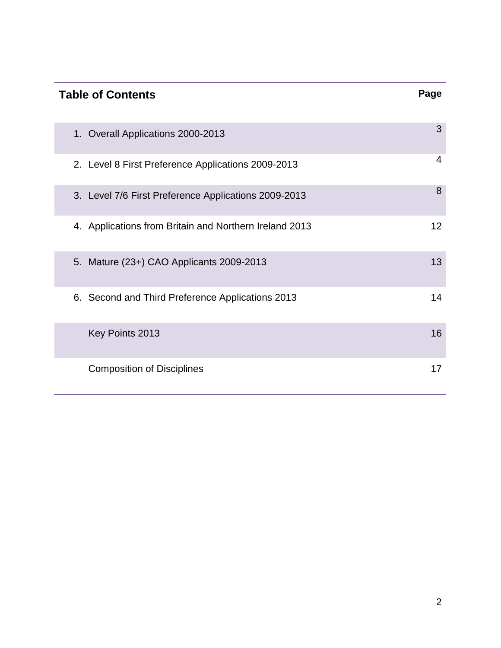# **Table of Contents Page** 1. Overall Applications 2000-2013 <sup>3</sup> 2. Level 8 First Preference Applications 2009-2013 <sup>4</sup> 3. Level 7/6 First Preference Applications 2009-2013 <sup>8</sup> 4. Applications from Britain and Northern Ireland 2013 12 5. Mature (23+) CAO Applicants 2009-2013 13 6. Second and Third Preference Applications 2013 14 Key Points 2013 **16** Composition of Disciplines 17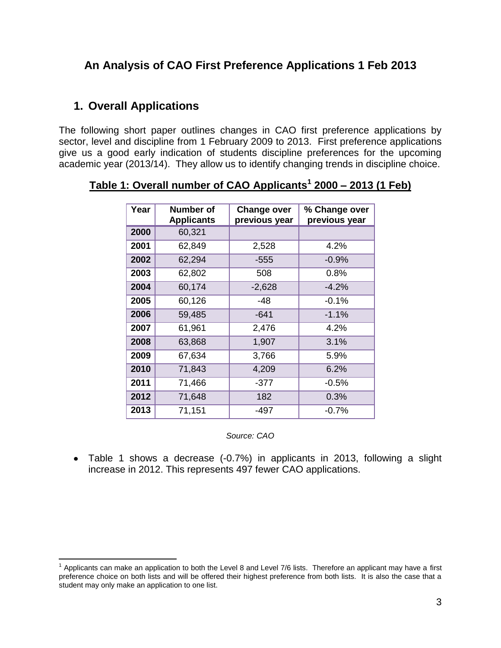# **An Analysis of CAO First Preference Applications 1 Feb 2013**

# **1. Overall Applications**

 $\overline{a}$ 

The following short paper outlines changes in CAO first preference applications by sector, level and discipline from 1 February 2009 to 2013. First preference applications give us a good early indication of students discipline preferences for the upcoming academic year (2013/14). They allow us to identify changing trends in discipline choice.

| Year | <b>Number of</b><br><b>Applicants</b> | <b>Change over</b><br>previous year | % Change over<br>previous year |
|------|---------------------------------------|-------------------------------------|--------------------------------|
| 2000 | 60,321                                |                                     |                                |
| 2001 | 62,849                                | 2,528                               | 4.2%                           |
| 2002 | 62,294                                | $-555$                              | $-0.9%$                        |
| 2003 | 62,802                                | 508                                 | 0.8%                           |
| 2004 | 60,174                                | $-2,628$                            | $-4.2%$                        |
| 2005 | 60,126                                | $-48$                               | $-0.1%$                        |
| 2006 | 59,485                                | $-641$                              | $-1.1%$                        |
| 2007 | 61,961                                | 2,476                               | 4.2%                           |
| 2008 | 63,868                                | 1,907                               | 3.1%                           |
| 2009 | 67,634                                | 3,766                               | 5.9%                           |
| 2010 | 71,843                                | 4,209                               | 6.2%                           |
| 2011 | 71,466                                | $-377$                              | $-0.5%$                        |
| 2012 | 71,648                                | 182                                 | 0.3%                           |
| 2013 | 71,151                                | $-497$                              | $-0.7%$                        |

**Table 1: Overall number of CAO Applicants<sup>1</sup> 2000 – 2013 (1 Feb)**

*Source: CAO*

Table 1 shows a decrease (-0.7%) in applicants in 2013, following a slight increase in 2012. This represents 497 fewer CAO applications.

 $1$  Applicants can make an application to both the Level 8 and Level 7/6 lists. Therefore an applicant may have a first preference choice on both lists and will be offered their highest preference from both lists. It is also the case that a student may only make an application to one list.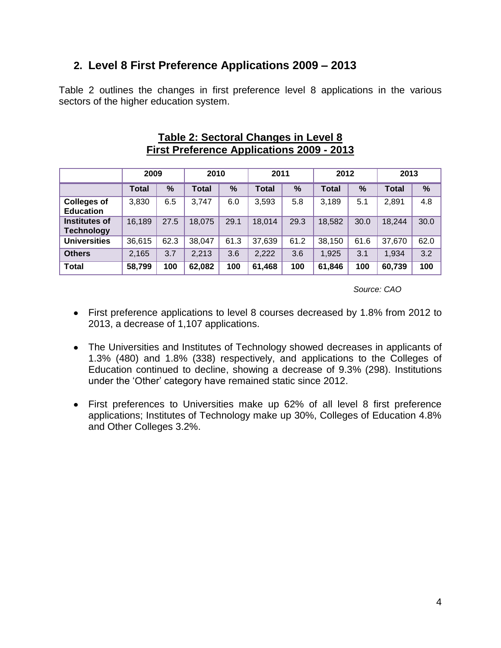# **2. Level 8 First Preference Applications 2009 – 2013**

Table 2 outlines the changes in first preference level 8 applications in the various sectors of the higher education system.

|                                        | 2009         |      | 2010         |      | 2011         |      | 2012         |      | 2013         |      |
|----------------------------------------|--------------|------|--------------|------|--------------|------|--------------|------|--------------|------|
|                                        | <b>Total</b> | %    | <b>Total</b> | %    | <b>Total</b> | $\%$ | <b>Total</b> | %    | <b>Total</b> | %    |
| <b>Colleges of</b><br><b>Education</b> | 3,830        | 6.5  | 3,747        | 6.0  | 3,593        | 5.8  | 3,189        | 5.1  | 2,891        | 4.8  |
| Institutes of<br><b>Technology</b>     | 16,189       | 27.5 | 18,075       | 29.1 | 18,014       | 29.3 | 18,582       | 30.0 | 18,244       | 30.0 |
| <b>Universities</b>                    | 36,615       | 62.3 | 38,047       | 61.3 | 37,639       | 61.2 | 38,150       | 61.6 | 37,670       | 62.0 |
| <b>Others</b>                          | 2,165        | 3.7  | 2,213        | 3.6  | 2,222        | 3.6  | 1,925        | 3.1  | 1,934        | 3.2  |
| <b>Total</b>                           | 58,799       | 100  | 62,082       | 100  | 61,468       | 100  | 61,846       | 100  | 60,739       | 100  |

#### **Table 2: Sectoral Changes in Level 8 First Preference Applications 2009 - 2013**

- First preference applications to level 8 courses decreased by 1.8% from 2012 to 2013, a decrease of 1,107 applications.
- The Universities and Institutes of Technology showed decreases in applicants of 1.3% (480) and 1.8% (338) respectively, and applications to the Colleges of Education continued to decline, showing a decrease of 9.3% (298). Institutions under the 'Other' category have remained static since 2012.
- First preferences to Universities make up 62% of all level 8 first preference applications; Institutes of Technology make up 30%, Colleges of Education 4.8% and Other Colleges 3.2%.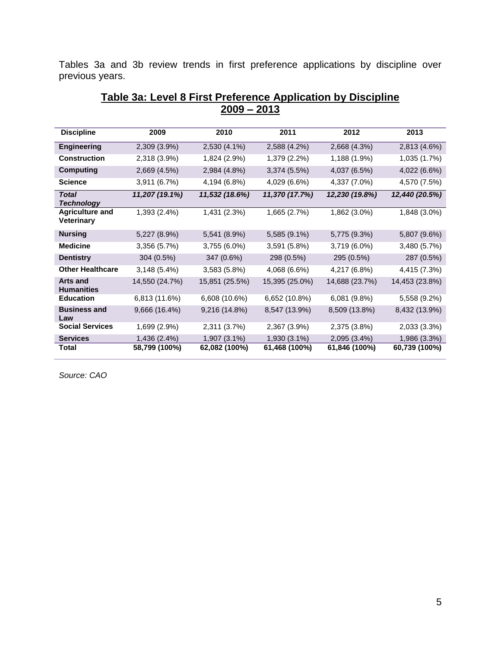Tables 3a and 3b review trends in first preference applications by discipline over previous years.

| <b>Discipline</b>                           | 2009           | 2010           | 2011           | 2012           | 2013           |
|---------------------------------------------|----------------|----------------|----------------|----------------|----------------|
| <b>Engineering</b>                          | 2,309 (3.9%)   | 2,530 (4.1%)   | 2,588 (4.2%)   | 2,668 (4.3%)   | 2,813 (4.6%)   |
| <b>Construction</b>                         | 2,318 (3.9%)   | 1,824 (2.9%)   | 1,379 (2.2%)   | 1,188 (1.9%)   | 1,035 (1.7%)   |
| <b>Computing</b>                            | 2,669 (4.5%)   | 2,984 (4.8%)   | 3,374 (5.5%)   | 4,037 (6.5%)   | 4,022 (6.6%)   |
| <b>Science</b>                              | 3,911 (6.7%)   | 4,194 (6.8%)   | 4,029 (6.6%)   | 4,337 (7.0%)   | 4,570 (7.5%)   |
| <b>Total</b><br><b>Technology</b>           | 11,207 (19.1%) | 11,532 (18.6%) | 11,370 (17.7%) | 12,230 (19.8%) | 12,440 (20.5%) |
| <b>Agriculture and</b><br><b>Veterinary</b> | 1,393 (2.4%)   | 1,431 (2.3%)   | 1,665 (2.7%)   | 1,862 (3.0%)   | 1,848 (3.0%)   |
| <b>Nursing</b>                              | 5,227 (8.9%)   | 5,541 (8.9%)   | 5,585 (9.1%)   | 5,775 (9.3%)   | 5,807 (9.6%)   |
| <b>Medicine</b>                             | 3,356 (5.7%)   | 3,755 (6.0%)   | 3,591 (5.8%)   | 3,719 (6.0%)   | 3,480 (5.7%)   |
| <b>Dentistry</b>                            | 304 (0.5%)     | 347 (0.6%)     | 298 (0.5%)     | 295 (0.5%)     | 287 (0.5%)     |
| <b>Other Healthcare</b>                     | 3,148 (5.4%)   | 3,583 (5.8%)   | 4,068 (6.6%)   | 4,217 (6.8%)   | 4,415 (7.3%)   |
| <b>Arts and</b><br><b>Humanities</b>        | 14,550 (24.7%) | 15,851 (25.5%) | 15,395 (25.0%) | 14,688 (23.7%) | 14,453 (23.8%) |
| <b>Education</b>                            | 6,813 (11.6%)  | 6,608 (10.6%)  | 6,652 (10.8%)  | 6,081 (9.8%)   | 5,558 (9.2%)   |
| <b>Business and</b><br>Law                  | 9,666 (16.4%)  | 9,216 (14.8%)  | 8,547 (13.9%)  | 8,509 (13.8%)  | 8,432 (13.9%)  |
| <b>Social Services</b>                      | 1,699 (2.9%)   | 2,311 (3.7%)   | 2,367 (3.9%)   | 2,375 (3.8%)   | 2,033 (3.3%)   |
| <b>Services</b>                             | 1,436 (2.4%)   | 1,907 (3.1%)   | 1,930 (3.1%)   | 2,095 (3.4%)   | 1,986 (3.3%)   |
| <b>Total</b>                                | 58,799 (100%)  | 62,082 (100%)  | 61,468 (100%)  | 61,846 (100%)  | 60,739 (100%)  |

#### **Table 3a: Level 8 First Preference Application by Discipline 2009 – 2013**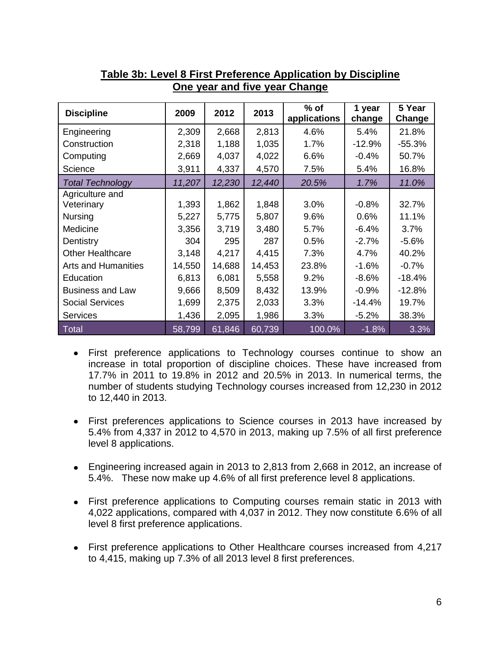| <b>Discipline</b>          | 2009   | 2012   | 2013   | $%$ of<br>applications | 1 year<br>change | 5 Year<br>Change |
|----------------------------|--------|--------|--------|------------------------|------------------|------------------|
| Engineering                | 2,309  | 2,668  | 2,813  | 4.6%                   | 5.4%             | 21.8%            |
| Construction               | 2,318  | 1,188  | 1,035  | 1.7%                   | $-12.9%$         | $-55.3%$         |
| Computing                  | 2,669  | 4,037  | 4,022  | 6.6%                   | $-0.4%$          | 50.7%            |
| Science                    | 3,911  | 4,337  | 4,570  | 7.5%                   | 5.4%             | 16.8%            |
| <b>Total Technology</b>    | 11,207 | 12,230 | 12,440 | 20.5%                  | 1.7%             | 11.0%            |
| Agriculture and            |        |        |        |                        |                  |                  |
| Veterinary                 | 1,393  | 1,862  | 1,848  | 3.0%                   | $-0.8%$          | 32.7%            |
| <b>Nursing</b>             | 5,227  | 5,775  | 5,807  | 9.6%                   | 0.6%             | 11.1%            |
| Medicine                   | 3,356  | 3,719  | 3,480  | 5.7%                   | $-6.4%$          | 3.7%             |
| Dentistry                  | 304    | 295    | 287    | 0.5%                   | $-2.7%$          | $-5.6%$          |
| <b>Other Healthcare</b>    | 3,148  | 4,217  | 4,415  | 7.3%                   | 4.7%             | 40.2%            |
| <b>Arts and Humanities</b> | 14,550 | 14,688 | 14,453 | 23.8%                  | $-1.6%$          | $-0.7%$          |
| Education                  | 6,813  | 6,081  | 5,558  | 9.2%                   | -8.6%            | $-18.4%$         |
| <b>Business and Law</b>    | 9,666  | 8,509  | 8,432  | 13.9%                  | $-0.9%$          | $-12.8%$         |
| <b>Social Services</b>     | 1,699  | 2,375  | 2,033  | 3.3%                   | $-14.4%$         | 19.7%            |
| <b>Services</b>            | 1,436  | 2,095  | 1,986  | 3.3%                   | $-5.2%$          | 38.3%            |
| <b>Total</b>               | 58,799 | 61,846 | 60,739 | 100.0%                 | $-1.8%$          | 3.3%             |

# **Table 3b: Level 8 First Preference Application by Discipline One year and five year Change**

- First preference applications to Technology courses continue to show an increase in total proportion of discipline choices. These have increased from 17.7% in 2011 to 19.8% in 2012 and 20.5% in 2013. In numerical terms, the number of students studying Technology courses increased from 12,230 in 2012 to 12,440 in 2013.
- First preferences applications to Science courses in 2013 have increased by 5.4% from 4,337 in 2012 to 4,570 in 2013, making up 7.5% of all first preference level 8 applications.
- Engineering increased again in 2013 to 2,813 from 2,668 in 2012, an increase of 5.4%. These now make up 4.6% of all first preference level 8 applications.
- First preference applications to Computing courses remain static in 2013 with 4,022 applications, compared with 4,037 in 2012. They now constitute 6.6% of all level 8 first preference applications.
- First preference applications to Other Healthcare courses increased from 4,217 to 4,415, making up 7.3% of all 2013 level 8 first preferences.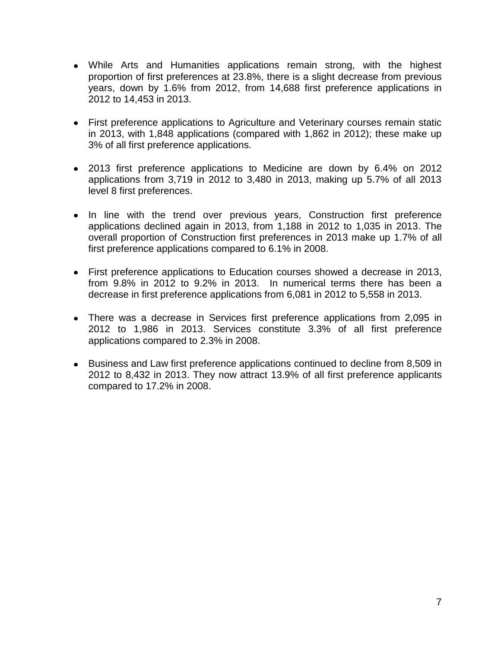- While Arts and Humanities applications remain strong, with the highest proportion of first preferences at 23.8%, there is a slight decrease from previous years, down by 1.6% from 2012, from 14,688 first preference applications in 2012 to 14,453 in 2013.
- First preference applications to Agriculture and Veterinary courses remain static in 2013, with 1,848 applications (compared with 1,862 in 2012); these make up 3% of all first preference applications.
- 2013 first preference applications to Medicine are down by 6.4% on 2012 applications from 3,719 in 2012 to 3,480 in 2013, making up 5.7% of all 2013 level 8 first preferences.
- In line with the trend over previous years, Construction first preference applications declined again in 2013, from 1,188 in 2012 to 1,035 in 2013. The overall proportion of Construction first preferences in 2013 make up 1.7% of all first preference applications compared to 6.1% in 2008.
- First preference applications to Education courses showed a decrease in 2013, from 9.8% in 2012 to 9.2% in 2013. In numerical terms there has been a decrease in first preference applications from 6,081 in 2012 to 5,558 in 2013.
- There was a decrease in Services first preference applications from 2,095 in 2012 to 1,986 in 2013. Services constitute 3.3% of all first preference applications compared to 2.3% in 2008.
- Business and Law first preference applications continued to decline from 8,509 in 2012 to 8,432 in 2013. They now attract 13.9% of all first preference applicants compared to 17.2% in 2008.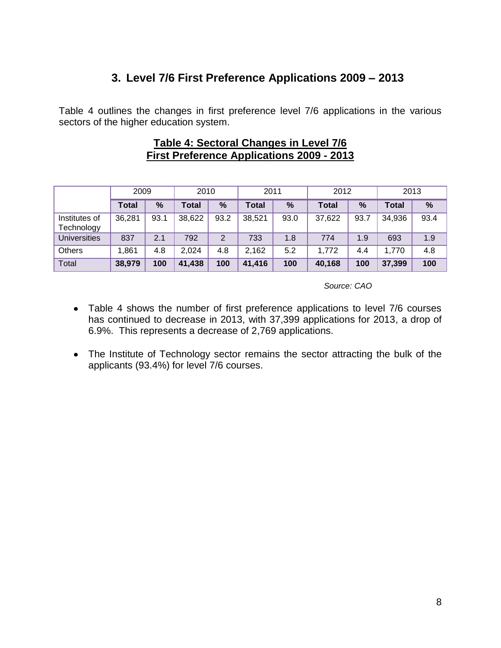# **3. Level 7/6 First Preference Applications 2009 – 2013**

Table 4 outlines the changes in first preference level 7/6 applications in the various sectors of the higher education system.

#### **Table 4: Sectoral Changes in Level 7/6 First Preference Applications 2009 - 2013**

|                             | 2009         |      | 2010         |      | 2011   |      | 2012         |      | 2013         |      |
|-----------------------------|--------------|------|--------------|------|--------|------|--------------|------|--------------|------|
|                             | <b>Total</b> | %    | <b>Total</b> | %    | Total  | %    | <b>Total</b> | %    | <b>Total</b> | %    |
| Institutes of<br>Technology | 36,281       | 93.1 | 38,622       | 93.2 | 38,521 | 93.0 | 37,622       | 93.7 | 34,936       | 93.4 |
| <b>Universities</b>         | 837          | 2.1  | 792          | 2    | 733    | 1.8  | 774          | 1.9  | 693          | 1.9  |
| Others                      | .861         | 4.8  | 2,024        | 4.8  | 2,162  | 5.2  | 1,772        | 4.4  | 1,770        | 4.8  |
| Total                       | 38,979       | 100  | 41,438       | 100  | 41,416 | 100  | 40,168       | 100  | 37,399       | 100  |

- Table 4 shows the number of first preference applications to level 7/6 courses has continued to decrease in 2013, with 37,399 applications for 2013, a drop of 6.9%. This represents a decrease of 2,769 applications.
- The Institute of Technology sector remains the sector attracting the bulk of the applicants (93.4%) for level 7/6 courses.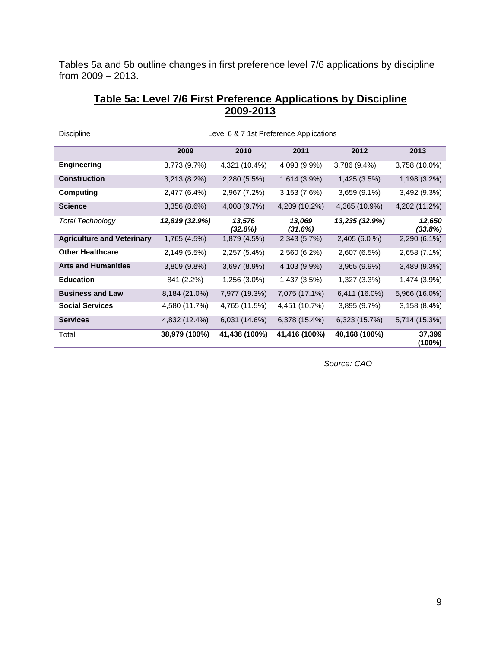Tables 5a and 5b outline changes in first preference level 7/6 applications by discipline from 2009 – 2013.

| <b>Discipline</b>                 | Level 6 & 7 1st Preference Applications |                   |                   |                |                   |  |  |  |
|-----------------------------------|-----------------------------------------|-------------------|-------------------|----------------|-------------------|--|--|--|
|                                   | 2009                                    | 2010              | 2011              | 2012           | 2013              |  |  |  |
| <b>Engineering</b>                | 3,773(9.7%)                             | 4,321 (10.4%)     | 4,093 (9.9%)      | $3,786(9.4\%)$ | 3,758 (10.0%)     |  |  |  |
| <b>Construction</b>               | $3,213(8.2\%)$                          | 2,280 (5.5%)      | 1,614 (3.9%)      | 1,425 (3.5%)   | 1,198 (3.2%)      |  |  |  |
| <b>Computing</b>                  | 2,477 (6.4%)                            | 2,967 (7.2%)      | 3,153 (7.6%)      | 3,659 (9.1%)   | 3,492 (9.3%)      |  |  |  |
| <b>Science</b>                    | $3,356(8.6\%)$                          | 4,008 (9.7%)      | 4,209 (10.2%)     | 4,365 (10.9%)  | 4,202 (11.2%)     |  |  |  |
| <b>Total Technology</b>           | 12,819 (32.9%)                          | 13,576<br>(32.8%) | 13,069<br>(31.6%) | 13,235 (32.9%) | 12,650<br>(33.8%) |  |  |  |
| <b>Agriculture and Veterinary</b> | 1,765 (4.5%)                            | 1,879 (4.5%)      | 2,343 (5.7%)      | 2,405 (6.0 %)  | 2,290 (6.1%)      |  |  |  |
| <b>Other Healthcare</b>           | 2,149 (5.5%)                            | 2,257 (5.4%)      | 2,560 (6.2%)      | 2,607 (6.5%)   | 2,658 (7.1%)      |  |  |  |
| <b>Arts and Humanities</b>        | 3,809 (9.8%)                            | 3,697 (8.9%)      | 4,103 (9.9%)      | 3,965 (9.9%)   | 3,489 (9.3%)      |  |  |  |
| <b>Education</b>                  | 841 (2.2%)                              | 1,256 (3.0%)      | 1,437 (3.5%)      | 1,327 (3.3%)   | 1,474 (3.9%)      |  |  |  |
| <b>Business and Law</b>           | 8,184 (21.0%)                           | 7,977 (19.3%)     | 7,075 (17.1%)     | 6,411 (16.0%)  | 5,966 (16.0%)     |  |  |  |
| <b>Social Services</b>            | 4,580 (11.7%)                           | 4,765 (11.5%)     | 4,451 (10.7%)     | 3,895 (9.7%)   | 3,158(8.4%)       |  |  |  |
| <b>Services</b>                   | 4,832 (12.4%)                           | 6,031 (14.6%)     | 6,378 (15.4%)     | 6,323 (15.7%)  | 5,714 (15.3%)     |  |  |  |
| Total                             | 38,979 (100%)                           | 41,438 (100%)     | 41,416 (100%)     | 40,168 (100%)  | 37,399<br>(100%)  |  |  |  |

#### **Table 5a: Level 7/6 First Preference Applications by Discipline 2009-2013**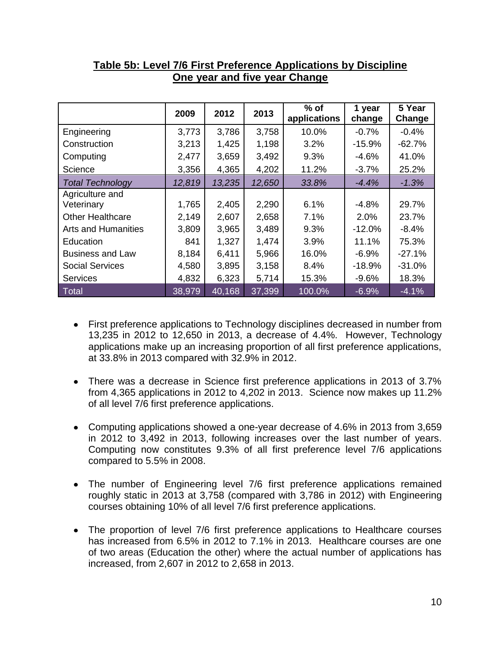|                            | 2009   | 2012   | 2013   | $%$ of<br>applications | 1 year<br>change | 5 Year<br>Change |
|----------------------------|--------|--------|--------|------------------------|------------------|------------------|
| Engineering                | 3,773  | 3,786  | 3,758  | 10.0%                  | $-0.7%$          | $-0.4%$          |
| Construction               | 3,213  | 1,425  | 1,198  | 3.2%                   | $-15.9%$         | $-62.7%$         |
| Computing                  | 2,477  | 3,659  | 3,492  | 9.3%                   | $-4.6%$          | 41.0%            |
| Science                    | 3,356  | 4,365  | 4,202  | 11.2%                  | $-3.7%$          | 25.2%            |
| <b>Total Technology</b>    | 12,819 | 13,235 | 12,650 | 33.8%                  | $-4.4\%$         | $-1.3%$          |
| Agriculture and            |        |        |        |                        |                  |                  |
| Veterinary                 | 1,765  | 2,405  | 2,290  | 6.1%                   | $-4.8%$          | 29.7%            |
| <b>Other Healthcare</b>    | 2,149  | 2,607  | 2,658  | 7.1%                   | 2.0%             | 23.7%            |
| <b>Arts and Humanities</b> | 3,809  | 3,965  | 3,489  | 9.3%                   | $-12.0%$         | $-8.4%$          |
| Education                  | 841    | 1,327  | 1,474  | 3.9%                   | 11.1%            | 75.3%            |
| <b>Business and Law</b>    | 8,184  | 6,411  | 5,966  | 16.0%                  | $-6.9%$          | $-27.1%$         |
| <b>Social Services</b>     | 4,580  | 3,895  | 3,158  | 8.4%                   | $-18.9%$         | $-31.0%$         |
| <b>Services</b>            | 4,832  | 6,323  | 5,714  | 15.3%                  | $-9.6%$          | 18.3%            |
| Total                      | 38,979 | 40,168 | 37,399 | 100.0%                 | $-6.9%$          | $-4.1%$          |

### **Table 5b: Level 7/6 First Preference Applications by Discipline One year and five year Change**

- First preference applications to Technology disciplines decreased in number from 13,235 in 2012 to 12,650 in 2013, a decrease of 4.4%. However, Technology applications make up an increasing proportion of all first preference applications, at 33.8% in 2013 compared with 32.9% in 2012.
- There was a decrease in Science first preference applications in 2013 of 3.7% from 4,365 applications in 2012 to 4,202 in 2013. Science now makes up 11.2% of all level 7/6 first preference applications.
- Computing applications showed a one-year decrease of 4.6% in 2013 from 3,659 in 2012 to 3,492 in 2013, following increases over the last number of years. Computing now constitutes 9.3% of all first preference level 7/6 applications compared to 5.5% in 2008.
- The number of Engineering level 7/6 first preference applications remained roughly static in 2013 at 3,758 (compared with 3,786 in 2012) with Engineering courses obtaining 10% of all level 7/6 first preference applications.
- The proportion of level 7/6 first preference applications to Healthcare courses has increased from 6.5% in 2012 to 7.1% in 2013. Healthcare courses are one of two areas (Education the other) where the actual number of applications has increased, from 2,607 in 2012 to 2,658 in 2013.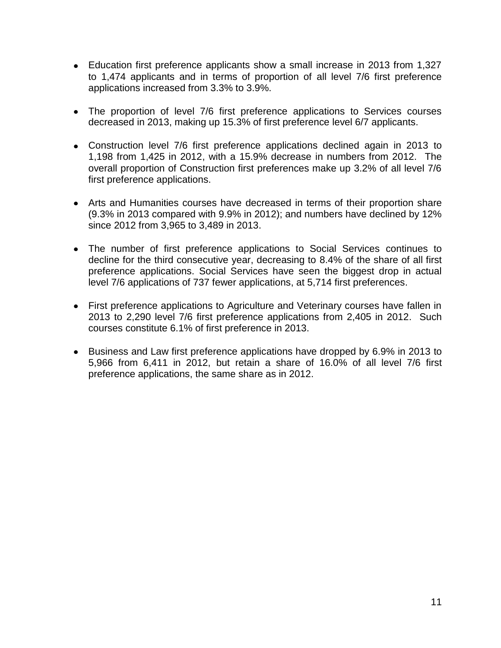- Education first preference applicants show a small increase in 2013 from 1,327 to 1,474 applicants and in terms of proportion of all level 7/6 first preference applications increased from 3.3% to 3.9%.
- The proportion of level 7/6 first preference applications to Services courses decreased in 2013, making up 15.3% of first preference level 6/7 applicants.
- Construction level 7/6 first preference applications declined again in 2013 to 1,198 from 1,425 in 2012, with a 15.9% decrease in numbers from 2012. The overall proportion of Construction first preferences make up 3.2% of all level 7/6 first preference applications.
- Arts and Humanities courses have decreased in terms of their proportion share (9.3% in 2013 compared with 9.9% in 2012); and numbers have declined by 12% since 2012 from 3,965 to 3,489 in 2013.
- The number of first preference applications to Social Services continues to decline for the third consecutive year, decreasing to 8.4% of the share of all first preference applications. Social Services have seen the biggest drop in actual level 7/6 applications of 737 fewer applications, at 5,714 first preferences.
- First preference applications to Agriculture and Veterinary courses have fallen in 2013 to 2,290 level 7/6 first preference applications from 2,405 in 2012. Such courses constitute 6.1% of first preference in 2013.
- Business and Law first preference applications have dropped by 6.9% in 2013 to 5,966 from 6,411 in 2012, but retain a share of 16.0% of all level 7/6 first preference applications, the same share as in 2012.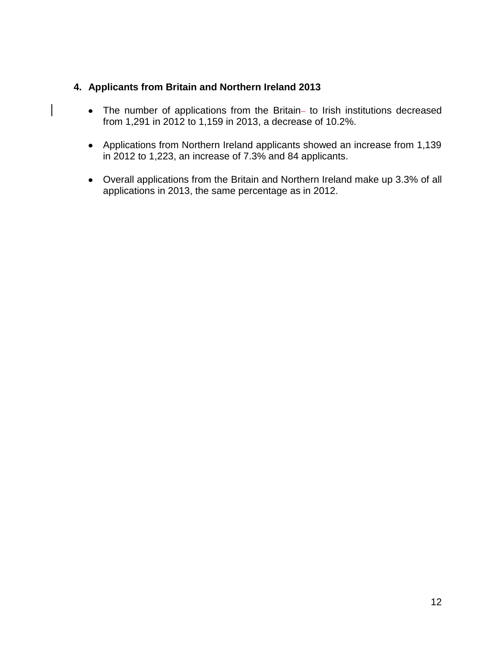#### **4. Applicants from Britain and Northern Ireland 2013**

 $\overline{\phantom{a}}$ 

- The number of applications from the Britain- to Irish institutions decreased from 1,291 in 2012 to 1,159 in 2013, a decrease of 10.2%.
- Applications from Northern Ireland applicants showed an increase from 1,139 in 2012 to 1,223, an increase of 7.3% and 84 applicants.
- Overall applications from the Britain and Northern Ireland make up 3.3% of all applications in 2013, the same percentage as in 2012.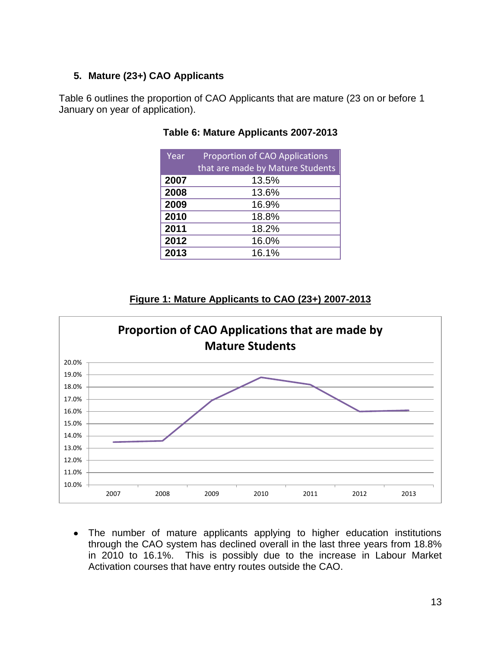#### **5. Mature (23+) CAO Applicants**

Table 6 outlines the proportion of CAO Applicants that are mature (23 on or before 1 January on year of application).

| Year | <b>Proportion of CAO Applications</b><br>that are made by Mature Students |
|------|---------------------------------------------------------------------------|
| 2007 | 13.5%                                                                     |
| 2008 | 13.6%                                                                     |
| 2009 | 16.9%                                                                     |
| 2010 | 18.8%                                                                     |
| 2011 | 18.2%                                                                     |
| 2012 | 16.0%                                                                     |
| 2013 | 16.1%                                                                     |

#### **Table 6: Mature Applicants 2007-2013**

#### **Figure 1: Mature Applicants to CAO (23+) 2007-2013**



The number of mature applicants applying to higher education institutions through the CAO system has declined overall in the last three years from 18.8% in 2010 to 16.1%. This is possibly due to the increase in Labour Market Activation courses that have entry routes outside the CAO.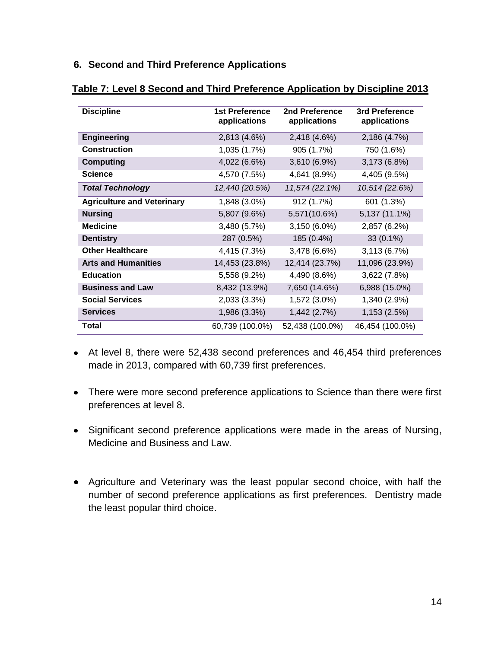#### **6. Second and Third Preference Applications**

| <b>Discipline</b>                 | <b>1st Preference</b><br>applications | 2nd Preference<br>applications | 3rd Preference<br>applications |
|-----------------------------------|---------------------------------------|--------------------------------|--------------------------------|
| <b>Engineering</b>                | 2,813 (4.6%)                          | 2,418 (4.6%)                   | 2,186 (4.7%)                   |
| <b>Construction</b>               | 1,035 (1.7%)                          | 905 (1.7%)                     | 750 (1.6%)                     |
| <b>Computing</b>                  | 4,022 (6.6%)                          | 3,610 (6.9%)                   | 3,173 (6.8%)                   |
| <b>Science</b>                    | 4,570 (7.5%)                          | 4,641 (8.9%)                   | 4,405 (9.5%)                   |
| <b>Total Technology</b>           | 12,440 (20.5%)                        | 11,574 (22.1%)                 | 10,514 (22.6%)                 |
| <b>Agriculture and Veterinary</b> | 1,848 (3.0%)                          | 912 (1.7%)                     | 601 (1.3%)                     |
| <b>Nursing</b>                    | 5,807 (9.6%)                          | 5,571(10.6%)                   | 5,137 (11.1%)                  |
| <b>Medicine</b>                   | 3,480 (5.7%)                          | 3,150 (6.0%)                   | 2,857 (6.2%)                   |
| <b>Dentistry</b>                  | 287 (0.5%)                            | 185 (0.4%)                     | 33 (0.1%)                      |
| <b>Other Healthcare</b>           | 4,415 (7.3%)                          | 3,478 (6.6%)                   | 3,113 (6.7%)                   |
| <b>Arts and Humanities</b>        | 14,453 (23.8%)                        | 12,414 (23.7%)                 | 11,096 (23.9%)                 |
| <b>Education</b>                  | 5,558 (9.2%)                          | 4,490 (8.6%)                   | 3,622 (7.8%)                   |
| <b>Business and Law</b>           | 8,432 (13.9%)                         | 7,650 (14.6%)                  | 6,988 (15.0%)                  |
| <b>Social Services</b>            | 2,033 (3.3%)                          | 1,572 (3.0%)                   | 1,340 (2.9%)                   |
| <b>Services</b>                   | 1,986 (3.3%)                          | 1,442 (2.7%)                   | 1,153 (2.5%)                   |
| Total                             | 60,739 (100.0%)                       | 52,438 (100.0%)                | 46,454 (100.0%)                |

#### **Table 7: Level 8 Second and Third Preference Application by Discipline 2013**

- At level 8, there were 52,438 second preferences and 46,454 third preferences made in 2013, compared with 60,739 first preferences.
- There were more second preference applications to Science than there were first preferences at level 8.
- Significant second preference applications were made in the areas of Nursing, Medicine and Business and Law.
- Agriculture and Veterinary was the least popular second choice, with half the number of second preference applications as first preferences. Dentistry made the least popular third choice.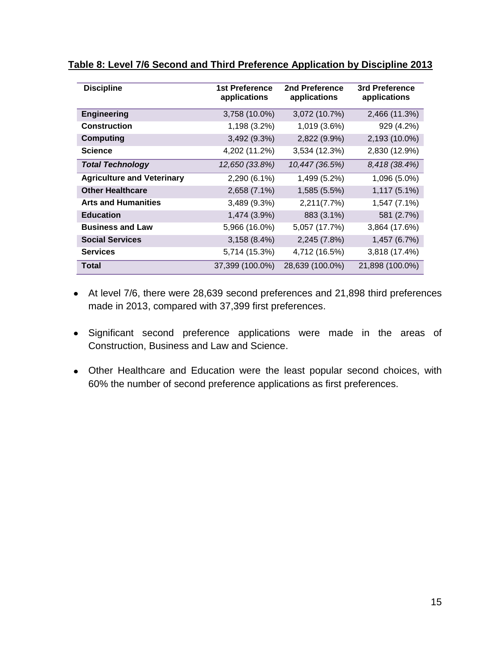| <b>Discipline</b>                 | 1st Preference<br>applications | 2nd Preference<br>applications | 3rd Preference<br>applications |
|-----------------------------------|--------------------------------|--------------------------------|--------------------------------|
| <b>Engineering</b>                | 3,758 (10.0%)                  | 3,072 (10.7%)                  | 2,466 (11.3%)                  |
| <b>Construction</b>               | 1,198 (3.2%)                   | 1,019 (3.6%)                   | 929 (4.2%)                     |
| <b>Computing</b>                  | 3,492 (9.3%)                   | 2,822 (9.9%)                   | 2,193 (10.0%)                  |
| <b>Science</b>                    | 4,202 (11.2%)                  | 3,534 (12.3%)                  | 2,830 (12.9%)                  |
| <b>Total Technology</b>           | 12,650 (33.8%)                 | 10,447 (36.5%)                 | 8,418 (38.4%)                  |
| <b>Agriculture and Veterinary</b> | 2,290 (6.1%)                   | 1,499 (5.2%)                   | 1,096 (5.0%)                   |
| <b>Other Healthcare</b>           | 2,658 (7.1%)                   | 1,585 (5.5%)                   | 1,117 (5.1%)                   |
| <b>Arts and Humanities</b>        | 3,489 (9.3%)                   | 2,211(7.7%)                    | 1,547 (7.1%)                   |
| <b>Education</b>                  | 1,474 (3.9%)                   | 883 (3.1%)                     | 581 (2.7%)                     |
| <b>Business and Law</b>           | 5,966 (16.0%)                  | 5,057 (17.7%)                  | 3,864 (17.6%)                  |
| <b>Social Services</b>            | 3,158(8.4%)                    | 2,245 (7.8%)                   | 1,457 (6.7%)                   |
| <b>Services</b>                   | 5,714 (15.3%)                  | 4,712 (16.5%)                  | 3,818 (17.4%)                  |
| Total                             | 37,399 (100.0%)                | 28,639 (100.0%)                | 21,898 (100.0%)                |

#### **Table 8: Level 7/6 Second and Third Preference Application by Discipline 2013**

- At level 7/6, there were 28,639 second preferences and 21,898 third preferences made in 2013, compared with 37,399 first preferences.
- Significant second preference applications were made in the areas of Construction, Business and Law and Science.
- Other Healthcare and Education were the least popular second choices, with 60% the number of second preference applications as first preferences.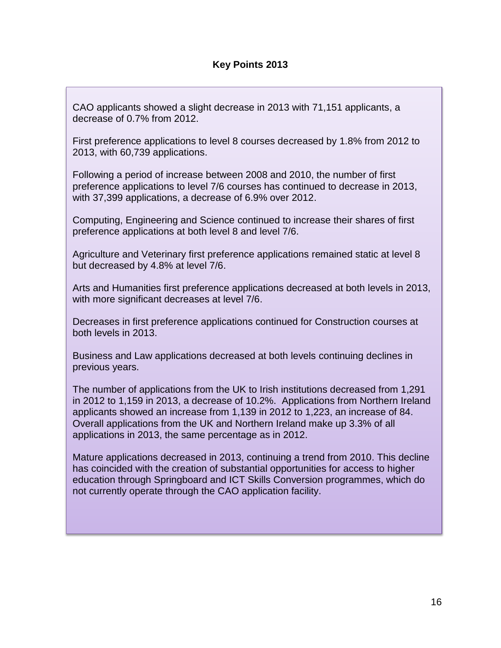CAO applicants showed a slight decrease in 2013 with 71,151 applicants, a decrease of 0.7% from 2012.

First preference applications to level 8 courses decreased by 1.8% from 2012 to 2013, with 60,739 applications.

Following a period of increase between 2008 and 2010, the number of first preference applications to level 7/6 courses has continued to decrease in 2013, with 37,399 applications, a decrease of 6.9% over 2012.

Computing, Engineering and Science continued to increase their shares of first preference applications at both level 8 and level 7/6.

Agriculture and Veterinary first preference applications remained static at level 8 but decreased by 4.8% at level 7/6.

Arts and Humanities first preference applications decreased at both levels in 2013, with more significant decreases at level 7/6.

Decreases in first preference applications continued for Construction courses at both levels in 2013.

Business and Law applications decreased at both levels continuing declines in previous years.

The number of applications from the UK to Irish institutions decreased from 1,291 in 2012 to 1,159 in 2013, a decrease of 10.2%. Applications from Northern Ireland applicants showed an increase from 1,139 in 2012 to 1,223, an increase of 84. Overall applications from the UK and Northern Ireland make up 3.3% of all applications in 2013, the same percentage as in 2012.

Mature applications decreased in 2013, continuing a trend from 2010. This decline has coincided with the creation of substantial opportunities for access to higher education through Springboard and ICT Skills Conversion programmes, which do not currently operate through the CAO application facility.